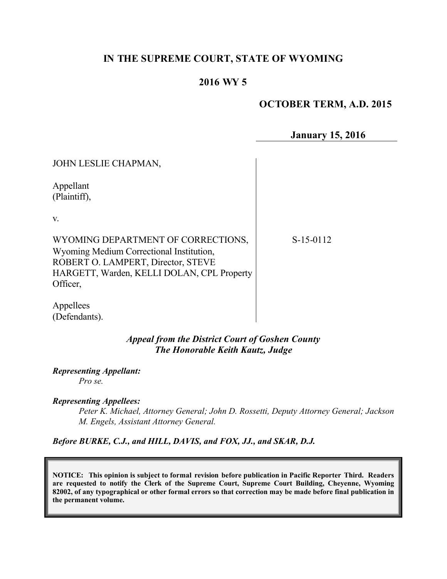## **IN THE SUPREME COURT, STATE OF WYOMING**

## **2016 WY 5**

# **OCTOBER TERM, A.D. 2015**

**January 15, 2016**

| JOHN LESLIE CHAPMAN,                                                                                                                                                           |             |
|--------------------------------------------------------------------------------------------------------------------------------------------------------------------------------|-------------|
| Appellant<br>(Plaintiff),                                                                                                                                                      |             |
| V.                                                                                                                                                                             |             |
| WYOMING DEPARTMENT OF CORRECTIONS,<br>Wyoming Medium Correctional Institution,<br>ROBERT O. LAMPERT, Director, STEVE<br>HARGETT, Warden, KELLI DOLAN, CPL Property<br>Officer, | $S-15-0112$ |
| Appellees                                                                                                                                                                      |             |

*Appeal from the District Court of Goshen County The Honorable Keith Kautz, Judge*

*Representing Appellant:*

*Pro se.*

(Defendants).

*Representing Appellees:*

*Peter K. Michael, Attorney General; John D. Rossetti, Deputy Attorney General; Jackson M. Engels, Assistant Attorney General.*

*Before BURKE, C.J., and HILL, DAVIS, and FOX, JJ., and SKAR, D.J.*

**NOTICE: This opinion is subject to formal revision before publication in Pacific Reporter Third. Readers are requested to notify the Clerk of the Supreme Court, Supreme Court Building, Cheyenne, Wyoming 82002, of any typographical or other formal errors so that correction may be made before final publication in the permanent volume.**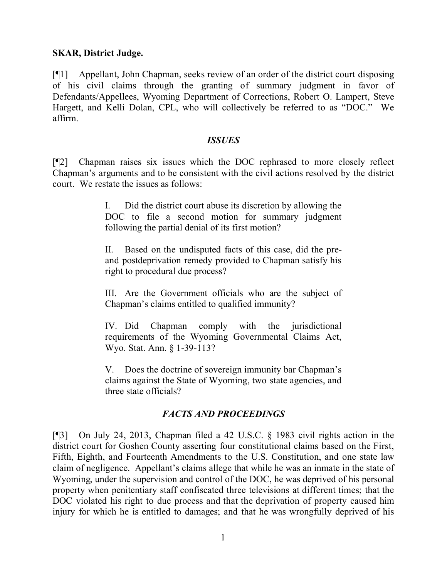#### **SKAR, District Judge.**

[¶1] Appellant, John Chapman, seeks review of an order of the district court disposing of his civil claims through the granting of summary judgment in favor of Defendants/Appellees, Wyoming Department of Corrections, Robert O. Lampert, Steve Hargett, and Kelli Dolan, CPL, who will collectively be referred to as "DOC." We affirm.

#### *ISSUES*

[¶2] Chapman raises six issues which the DOC rephrased to more closely reflect Chapman's arguments and to be consistent with the civil actions resolved by the district court. We restate the issues as follows:

> I. Did the district court abuse its discretion by allowing the DOC to file a second motion for summary judgment following the partial denial of its first motion?

> II. Based on the undisputed facts of this case, did the preand postdeprivation remedy provided to Chapman satisfy his right to procedural due process?

> III. Are the Government officials who are the subject of Chapman's claims entitled to qualified immunity?

> IV. Did Chapman comply with the jurisdictional requirements of the Wyoming Governmental Claims Act, Wyo. Stat. Ann. § 1-39-113?

> V. Does the doctrine of sovereign immunity bar Chapman's claims against the State of Wyoming, two state agencies, and three state officials?

## *FACTS AND PROCEEDINGS*

[¶3] On July 24, 2013, Chapman filed a 42 U.S.C. § 1983 civil rights action in the district court for Goshen County asserting four constitutional claims based on the First, Fifth, Eighth, and Fourteenth Amendments to the U.S. Constitution, and one state law claim of negligence. Appellant's claims allege that while he was an inmate in the state of Wyoming, under the supervision and control of the DOC, he was deprived of his personal property when penitentiary staff confiscated three televisions at different times; that the DOC violated his right to due process and that the deprivation of property caused him injury for which he is entitled to damages; and that he was wrongfully deprived of his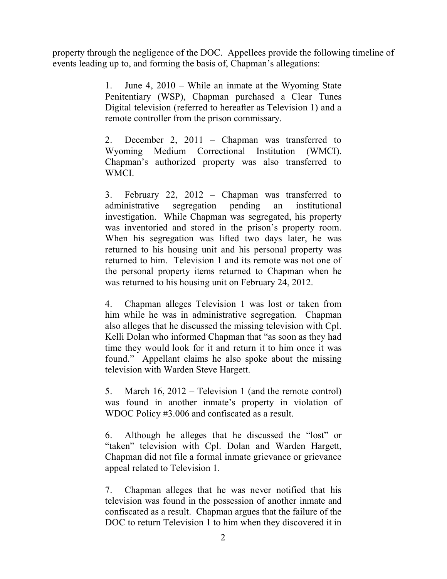property through the negligence of the DOC. Appellees provide the following timeline of events leading up to, and forming the basis of, Chapman's allegations:

> 1. June 4, 2010 – While an inmate at the Wyoming State Penitentiary (WSP), Chapman purchased a Clear Tunes Digital television (referred to hereafter as Television 1) and a remote controller from the prison commissary.

> 2. December 2, 2011 – Chapman was transferred to Wyoming Medium Correctional Institution (WMCI). Chapman's authorized property was also transferred to WMCI.

> 3. February 22, 2012 – Chapman was transferred to administrative segregation pending an institutional investigation. While Chapman was segregated, his property was inventoried and stored in the prison's property room. When his segregation was lifted two days later, he was returned to his housing unit and his personal property was returned to him. Television 1 and its remote was not one of the personal property items returned to Chapman when he was returned to his housing unit on February 24, 2012.

> 4. Chapman alleges Television 1 was lost or taken from him while he was in administrative segregation. Chapman also alleges that he discussed the missing television with Cpl. Kelli Dolan who informed Chapman that "as soon as they had time they would look for it and return it to him once it was found." Appellant claims he also spoke about the missing television with Warden Steve Hargett.

> 5. March 16, 2012 – Television 1 (and the remote control) was found in another inmate's property in violation of WDOC Policy #3.006 and confiscated as a result.

> 6. Although he alleges that he discussed the "lost" or "taken" television with Cpl. Dolan and Warden Hargett, Chapman did not file a formal inmate grievance or grievance appeal related to Television 1.

> 7. Chapman alleges that he was never notified that his television was found in the possession of another inmate and confiscated as a result. Chapman argues that the failure of the DOC to return Television 1 to him when they discovered it in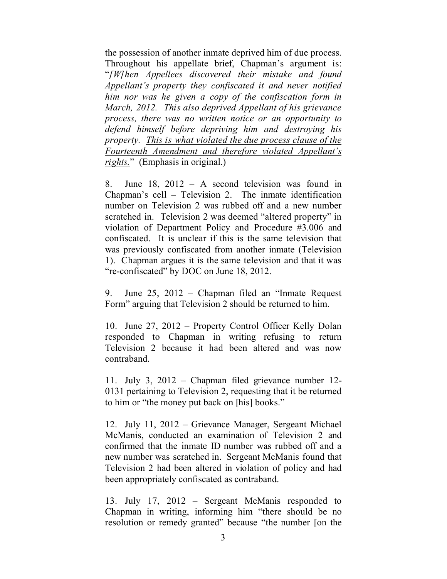the possession of another inmate deprived him of due process. Throughout his appellate brief, Chapman's argument is: "*[W]hen Appellees discovered their mistake and found Appellant's property they confiscated it and never notified him nor was he given a copy of the confiscation form in March, 2012. This also deprived Appellant of his grievance process, there was no written notice or an opportunity to defend himself before depriving him and destroying his property. This is what violated the due process clause of the Fourteenth Amendment and therefore violated Appellant's rights.*" (Emphasis in original.)

8. June 18, 2012 – A second television was found in Chapman's cell – Television 2. The inmate identification number on Television 2 was rubbed off and a new number scratched in. Television 2 was deemed "altered property" in violation of Department Policy and Procedure #3.006 and confiscated. It is unclear if this is the same television that was previously confiscated from another inmate (Television 1). Chapman argues it is the same television and that it was "re-confiscated" by DOC on June 18, 2012.

9. June 25, 2012 – Chapman filed an "Inmate Request Form" arguing that Television 2 should be returned to him.

10. June 27, 2012 – Property Control Officer Kelly Dolan responded to Chapman in writing refusing to return Television 2 because it had been altered and was now contraband.

11. July 3, 2012 – Chapman filed grievance number 12- 0131 pertaining to Television 2, requesting that it be returned to him or "the money put back on [his] books."

12. July 11, 2012 – Grievance Manager, Sergeant Michael McManis, conducted an examination of Television 2 and confirmed that the inmate ID number was rubbed off and a new number was scratched in. Sergeant McManis found that Television 2 had been altered in violation of policy and had been appropriately confiscated as contraband.

13. July 17, 2012 – Sergeant McManis responded to Chapman in writing, informing him "there should be no resolution or remedy granted" because "the number [on the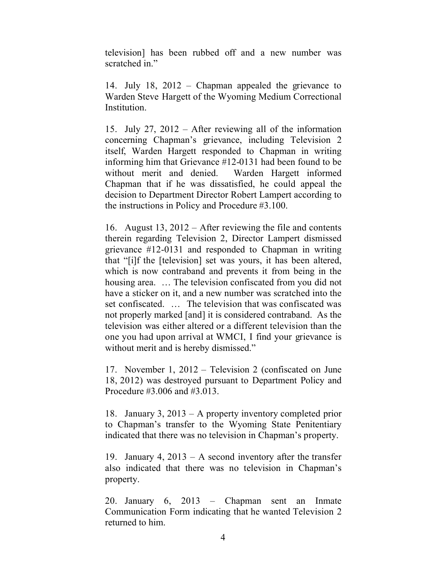television] has been rubbed off and a new number was scratched in."

14. July 18, 2012 – Chapman appealed the grievance to Warden Steve Hargett of the Wyoming Medium Correctional Institution.

15. July 27, 2012 – After reviewing all of the information concerning Chapman's grievance, including Television 2 itself, Warden Hargett responded to Chapman in writing informing him that Grievance #12-0131 had been found to be without merit and denied. Warden Hargett informed Chapman that if he was dissatisfied, he could appeal the decision to Department Director Robert Lampert according to the instructions in Policy and Procedure #3.100.

16. August 13, 2012 – After reviewing the file and contents therein regarding Television 2, Director Lampert dismissed grievance #12-0131 and responded to Chapman in writing that "[i]f the [television] set was yours, it has been altered, which is now contraband and prevents it from being in the housing area. ... The television confiscated from you did not have a sticker on it, and a new number was scratched into the set confiscated. … The television that was confiscated was not properly marked [and] it is considered contraband. As the television was either altered or a different television than the one you had upon arrival at WMCI, I find your grievance is without merit and is hereby dismissed."

17. November 1, 2012 – Television 2 (confiscated on June 18, 2012) was destroyed pursuant to Department Policy and Procedure #3.006 and #3.013.

18. January 3, 2013 – A property inventory completed prior to Chapman's transfer to the Wyoming State Penitentiary indicated that there was no television in Chapman's property.

19. January 4, 2013 – A second inventory after the transfer also indicated that there was no television in Chapman's property.

20. January 6, 2013 – Chapman sent an Inmate Communication Form indicating that he wanted Television 2 returned to him.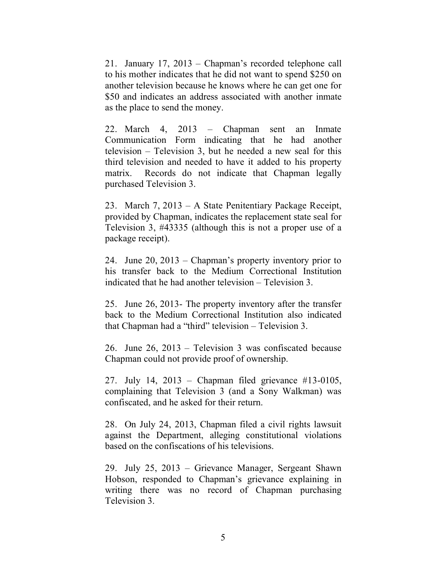21. January 17, 2013 – Chapman's recorded telephone call to his mother indicates that he did not want to spend \$250 on another television because he knows where he can get one for \$50 and indicates an address associated with another inmate as the place to send the money.

22. March 4, 2013 – Chapman sent an Inmate Communication Form indicating that he had another television – Television 3, but he needed a new seal for this third television and needed to have it added to his property matrix. Records do not indicate that Chapman legally purchased Television 3.

23. March 7, 2013 – A State Penitentiary Package Receipt, provided by Chapman, indicates the replacement state seal for Television 3, #43335 (although this is not a proper use of a package receipt).

24. June 20, 2013 – Chapman's property inventory prior to his transfer back to the Medium Correctional Institution indicated that he had another television – Television 3.

25. June 26, 2013- The property inventory after the transfer back to the Medium Correctional Institution also indicated that Chapman had a "third" television – Television 3.

26. June 26, 2013 – Television 3 was confiscated because Chapman could not provide proof of ownership.

27. July 14, 2013 – Chapman filed grievance #13-0105, complaining that Television 3 (and a Sony Walkman) was confiscated, and he asked for their return.

28. On July 24, 2013, Chapman filed a civil rights lawsuit against the Department, alleging constitutional violations based on the confiscations of his televisions.

29. July 25, 2013 – Grievance Manager, Sergeant Shawn Hobson, responded to Chapman's grievance explaining in writing there was no record of Chapman purchasing Television 3.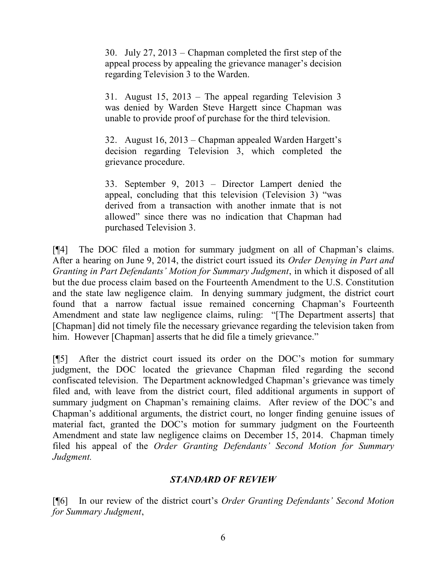30. July 27, 2013 – Chapman completed the first step of the appeal process by appealing the grievance manager's decision regarding Television 3 to the Warden.

31. August 15, 2013 – The appeal regarding Television 3 was denied by Warden Steve Hargett since Chapman was unable to provide proof of purchase for the third television.

32. August 16, 2013 – Chapman appealed Warden Hargett's decision regarding Television 3, which completed the grievance procedure.

33. September 9, 2013 – Director Lampert denied the appeal, concluding that this television (Television 3) "was derived from a transaction with another inmate that is not allowed" since there was no indication that Chapman had purchased Television 3.

[¶4] The DOC filed a motion for summary judgment on all of Chapman's claims. After a hearing on June 9, 2014, the district court issued its *Order Denying in Part and Granting in Part Defendants' Motion for Summary Judgment*, in which it disposed of all but the due process claim based on the Fourteenth Amendment to the U.S. Constitution and the state law negligence claim. In denying summary judgment, the district court found that a narrow factual issue remained concerning Chapman's Fourteenth Amendment and state law negligence claims, ruling: "[The Department asserts] that [Chapman] did not timely file the necessary grievance regarding the television taken from him. However [Chapman] asserts that he did file a timely grievance."

[¶5] After the district court issued its order on the DOC's motion for summary judgment, the DOC located the grievance Chapman filed regarding the second confiscated television. The Department acknowledged Chapman's grievance was timely filed and, with leave from the district court, filed additional arguments in support of summary judgment on Chapman's remaining claims. After review of the DOC's and Chapman's additional arguments, the district court, no longer finding genuine issues of material fact, granted the DOC's motion for summary judgment on the Fourteenth Amendment and state law negligence claims on December 15, 2014. Chapman timely filed his appeal of the *Order Granting Defendants' Second Motion for Summary Judgment.* 

## *STANDARD OF REVIEW*

[¶6] In our review of the district court's *Order Granting Defendants' Second Motion for Summary Judgment*,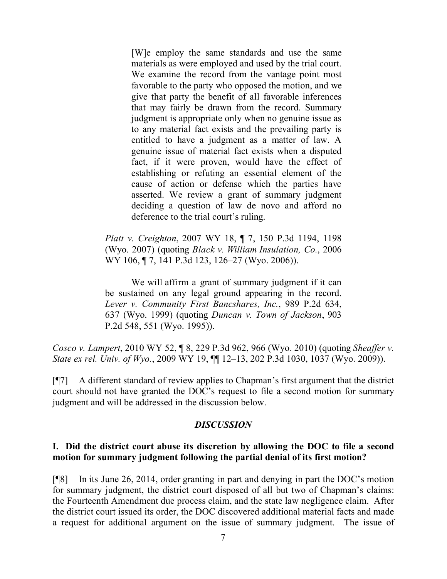[W]e employ the same standards and use the same materials as were employed and used by the trial court. We examine the record from the vantage point most favorable to the party who opposed the motion, and we give that party the benefit of all favorable inferences that may fairly be drawn from the record. Summary judgment is appropriate only when no genuine issue as to any material fact exists and the prevailing party is entitled to have a judgment as a matter of law. A genuine issue of material fact exists when a disputed fact, if it were proven, would have the effect of establishing or refuting an essential element of the cause of action or defense which the parties have asserted. We review a grant of summary judgment deciding a question of law de novo and afford no deference to the trial court's ruling.

*Platt v. Creighton*, 2007 WY 18, ¶ 7, 150 P.3d 1194, 1198 (Wyo. 2007) (quoting *Black v. William Insulation, Co.*, 2006 WY 106, ¶ 7, 141 P.3d 123, 126–27 (Wyo. 2006)).

We will affirm a grant of summary judgment if it can be sustained on any legal ground appearing in the record. *Lever v. Community First Bancshares, Inc.*, 989 P.2d 634, 637 (Wyo. 1999) (quoting *Duncan v. Town of Jackson*, 903 P.2d 548, 551 (Wyo. 1995)).

*Cosco v. Lampert*, 2010 WY 52, ¶ 8, 229 P.3d 962, 966 (Wyo. 2010) (quoting *Sheaffer v. State ex rel. Univ. of Wyo.*, 2009 WY 19, ¶¶ 12–13, 202 P.3d 1030, 1037 (Wyo. 2009)).

[¶7] A different standard of review applies to Chapman's first argument that the district court should not have granted the DOC's request to file a second motion for summary judgment and will be addressed in the discussion below.

## *DISCUSSION*

#### **I. Did the district court abuse its discretion by allowing the DOC to file a second motion for summary judgment following the partial denial of its first motion?**

[¶8] In its June 26, 2014, order granting in part and denying in part the DOC's motion for summary judgment, the district court disposed of all but two of Chapman's claims: the Fourteenth Amendment due process claim, and the state law negligence claim. After the district court issued its order, the DOC discovered additional material facts and made a request for additional argument on the issue of summary judgment. The issue of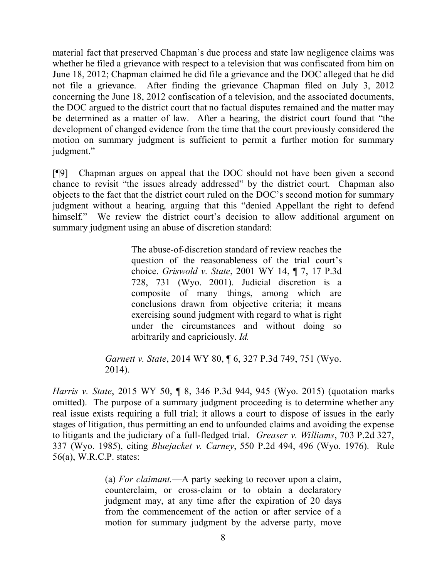material fact that preserved Chapman's due process and state law negligence claims was whether he filed a grievance with respect to a television that was confiscated from him on June 18, 2012; Chapman claimed he did file a grievance and the DOC alleged that he did not file a grievance. After finding the grievance Chapman filed on July 3, 2012 concerning the June 18, 2012 confiscation of a television, and the associated documents, the DOC argued to the district court that no factual disputes remained and the matter may be determined as a matter of law. After a hearing, the district court found that "the development of changed evidence from the time that the court previously considered the motion on summary judgment is sufficient to permit a further motion for summary judgment."

[¶9] Chapman argues on appeal that the DOC should not have been given a second chance to revisit "the issues already addressed" by the district court. Chapman also objects to the fact that the district court ruled on the DOC's second motion for summary judgment without a hearing, arguing that this "denied Appellant the right to defend himself." We review the district court's decision to allow additional argument on summary judgment using an abuse of discretion standard:

> The abuse-of-discretion standard of review reaches the question of the reasonableness of the trial court's choice. *Griswold v. State*, 2001 WY 14, ¶ 7, 17 P.3d 728, 731 (Wyo. 2001). Judicial discretion is a composite of many things, among which are conclusions drawn from objective criteria; it means exercising sound judgment with regard to what is right under the circumstances and without doing so arbitrarily and capriciously. *Id.*

*Garnett v. State*, 2014 WY 80, ¶ 6, 327 P.3d 749, 751 (Wyo. 2014).

*Harris v. State*, 2015 WY 50, ¶ 8, 346 P.3d 944, 945 (Wyo. 2015) (quotation marks omitted). The purpose of a summary judgment proceeding is to determine whether any real issue exists requiring a full trial; it allows a court to dispose of issues in the early stages of litigation, thus permitting an end to unfounded claims and avoiding the expense to litigants and the judiciary of a full-fledged trial. *Greaser v. Williams*, 703 P.2d 327, 337 (Wyo. 1985), citing *Bluejacket v. Carney*, 550 P.2d 494, 496 (Wyo. 1976). Rule 56(a), W.R.C.P. states:

> (a) *For claimant.*—A party seeking to recover upon a claim, counterclaim, or cross-claim or to obtain a declaratory judgment may, at any time after the expiration of 20 days from the commencement of the action or after service of a motion for summary judgment by the adverse party, move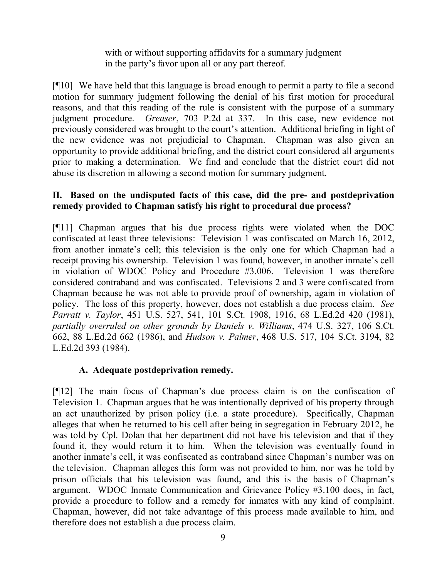with or without supporting affidavits for a summary judgment in the party's favor upon all or any part thereof.

[¶10] We have held that this language is broad enough to permit a party to file a second motion for summary judgment following the denial of his first motion for procedural reasons, and that this reading of the rule is consistent with the purpose of a summary judgment procedure. *Greaser*, 703 P.2d at 337. In this case, new evidence not previously considered was brought to the court's attention. Additional briefing in light of the new evidence was not prejudicial to Chapman. Chapman was also given an opportunity to provide additional briefing, and the district court considered all arguments prior to making a determination. We find and conclude that the district court did not abuse its discretion in allowing a second motion for summary judgment.

## **II. Based on the undisputed facts of this case, did the pre- and postdeprivation remedy provided to Chapman satisfy his right to procedural due process?**

[¶11] Chapman argues that his due process rights were violated when the DOC confiscated at least three televisions: Television 1 was confiscated on March 16, 2012, from another inmate's cell; this television is the only one for which Chapman had a receipt proving his ownership. Television 1 was found, however, in another inmate's cell in violation of WDOC Policy and Procedure #3.006. Television 1 was therefore considered contraband and was confiscated. Televisions 2 and 3 were confiscated from Chapman because he was not able to provide proof of ownership, again in violation of policy. The loss of this property, however, does not establish a due process claim. *See Parratt v. Taylor*, 451 U.S. 527, 541, 101 S.Ct. 1908, 1916, 68 L.Ed.2d 420 (1981), *partially overruled on other grounds by Daniels v. Williams*, 474 U.S. 327, 106 S.Ct. 662, 88 L.Ed.2d 662 (1986), and *Hudson v. Palmer*, 468 U.S. 517, 104 S.Ct. 3194, 82 L.Ed.2d 393 (1984).

## **A. Adequate postdeprivation remedy.**

[¶12] The main focus of Chapman's due process claim is on the confiscation of Television 1. Chapman argues that he was intentionally deprived of his property through an act unauthorized by prison policy (i.e. a state procedure). Specifically, Chapman alleges that when he returned to his cell after being in segregation in February 2012, he was told by Cpl. Dolan that her department did not have his television and that if they found it, they would return it to him. When the television was eventually found in another inmate's cell, it was confiscated as contraband since Chapman's number was on the television. Chapman alleges this form was not provided to him, nor was he told by prison officials that his television was found, and this is the basis of Chapman's argument. WDOC Inmate Communication and Grievance Policy #3.100 does, in fact, provide a procedure to follow and a remedy for inmates with any kind of complaint. Chapman, however, did not take advantage of this process made available to him, and therefore does not establish a due process claim.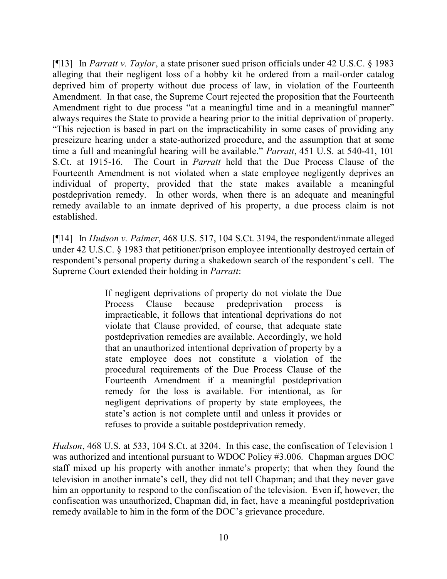[¶13] In *Parratt v. Taylor*, a state prisoner sued prison officials under 42 U.S.C. § 1983 alleging that their negligent loss of a hobby kit he ordered from a mail-order catalog deprived him of property without due process of law, in violation of the Fourteenth Amendment. In that case, the Supreme Court rejected the proposition that the Fourteenth Amendment right to due process "at a meaningful time and in a meaningful manner" always requires the State to provide a hearing prior to the initial deprivation of property. "This rejection is based in part on the impracticability in some cases of providing any preseizure hearing under a state-authorized procedure, and the assumption that at some time a full and meaningful hearing will be available." *Parratt*, 451 U.S. at 540-41, 101 S.Ct. at 1915-16. The Court in *Parratt* held that the Due Process Clause of the Fourteenth Amendment is not violated when a state employee negligently deprives an individual of property, provided that the state makes available a meaningful postdeprivation remedy. In other words, when there is an adequate and meaningful remedy available to an inmate deprived of his property, a due process claim is not established.

[¶14] In *Hudson v. Palmer*, 468 U.S. 517, 104 S.Ct. 3194, the respondent/inmate alleged under 42 U.S.C. § 1983 that petitioner/prison employee intentionally destroyed certain of respondent's personal property during a shakedown search of the respondent's cell. The Supreme Court extended their holding in *Parratt*:

> If negligent deprivations of property do not violate the Due Process Clause because predeprivation process impracticable, it follows that intentional deprivations do not violate that Clause provided, of course, that adequate state postdeprivation remedies are available. Accordingly, we hold that an unauthorized intentional deprivation of property by a state employee does not constitute a violation of the procedural requirements of the Due Process Clause of the Fourteenth Amendment if a meaningful postdeprivation remedy for the loss is available. For intentional, as for negligent deprivations of property by state employees, the state's action is not complete until and unless it provides or refuses to provide a suitable postdeprivation remedy.

*Hudson*, 468 U.S. at 533, 104 S.Ct. at 3204. In this case, the confiscation of Television 1 was authorized and intentional pursuant to WDOC Policy #3.006. Chapman argues DOC staff mixed up his property with another inmate's property; that when they found the television in another inmate's cell, they did not tell Chapman; and that they never gave him an opportunity to respond to the confiscation of the television. Even if, however, the confiscation was unauthorized, Chapman did, in fact, have a meaningful postdeprivation remedy available to him in the form of the DOC's grievance procedure.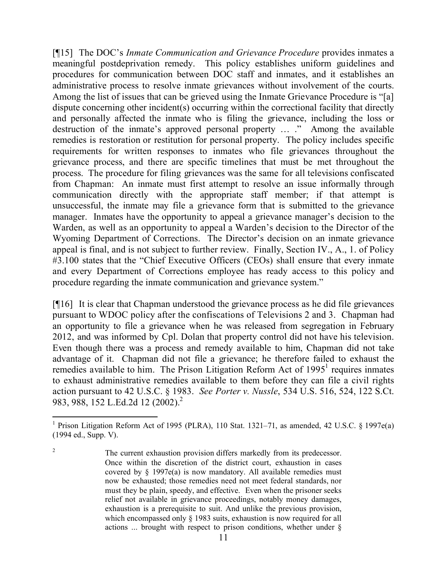[¶15] The DOC's *Inmate Communication and Grievance Procedure* provides inmates a meaningful postdeprivation remedy. This policy establishes uniform guidelines and procedures for communication between DOC staff and inmates, and it establishes an administrative process to resolve inmate grievances without involvement of the courts. Among the list of issues that can be grieved using the Inmate Grievance Procedure is "[a] dispute concerning other incident(s) occurring within the correctional facility that directly and personally affected the inmate who is filing the grievance, including the loss or destruction of the inmate's approved personal property ... ." Among the available remedies is restoration or restitution for personal property. The policy includes specific requirements for written responses to inmates who file grievances throughout the grievance process, and there are specific timelines that must be met throughout the process. The procedure for filing grievances was the same for all televisions confiscated from Chapman: An inmate must first attempt to resolve an issue informally through communication directly with the appropriate staff member; if that attempt is unsuccessful, the inmate may file a grievance form that is submitted to the grievance manager. Inmates have the opportunity to appeal a grievance manager's decision to the Warden, as well as an opportunity to appeal a Warden's decision to the Director of the Wyoming Department of Corrections. The Director's decision on an inmate grievance appeal is final, and is not subject to further review. Finally, Section IV., A., 1. of Policy #3.100 states that the "Chief Executive Officers (CEOs) shall ensure that every inmate and every Department of Corrections employee has ready access to this policy and procedure regarding the inmate communication and grievance system."

[¶16] It is clear that Chapman understood the grievance process as he did file grievances pursuant to WDOC policy after the confiscations of Televisions 2 and 3. Chapman had an opportunity to file a grievance when he was released from segregation in February 2012, and was informed by Cpl. Dolan that property control did not have his television. Even though there was a process and remedy available to him, Chapman did not take advantage of it. Chapman did not file a grievance; he therefore failed to exhaust the remedies available to him. The Prison Litigation Reform Act of  $1995<sup>1</sup>$  requires inmates to exhaust administrative remedies available to them before they can file a civil rights action pursuant to 42 U.S.C. § 1983. *See Porter v. Nussle*, 534 U.S. 516, 524, 122 S.Ct. 983, 988, 152 L.Ed.2d 12 (2002).<sup>2</sup>

 $\overline{a}$ 

<sup>&</sup>lt;sup>1</sup> Prison Litigation Reform Act of 1995 (PLRA), 110 Stat. 1321–71, as amended, 42 U.S.C. § 1997e(a) (1994 ed., Supp. V).

<sup>&</sup>lt;sup>2</sup> The current exhaustion provision differs markedly from its predecessor. Once within the discretion of the district court, exhaustion in cases covered by § 1997e(a) is now mandatory. All available remedies must now be exhausted; those remedies need not meet federal standards, nor must they be plain, speedy, and effective. Even when the prisoner seeks relief not available in grievance proceedings, notably money damages, exhaustion is a prerequisite to suit. And unlike the previous provision, which encompassed only  $\S$  1983 suits, exhaustion is now required for all actions ... brought with respect to prison conditions, whether under §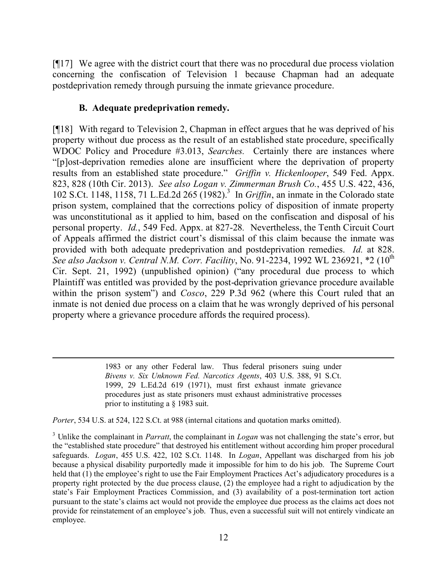[¶17] We agree with the district court that there was no procedural due process violation concerning the confiscation of Television 1 because Chapman had an adequate postdeprivation remedy through pursuing the inmate grievance procedure.

## **B. Adequate predeprivation remedy.**

 $\overline{a}$ 

[¶18] With regard to Television 2, Chapman in effect argues that he was deprived of his property without due process as the result of an established state procedure, specifically WDOC Policy and Procedure #3.013, *Searches.* Certainly there are instances where "[p]ost-deprivation remedies alone are insufficient where the deprivation of property results from an established state procedure." *Griffin v. Hickenlooper*, 549 Fed. Appx. 823, 828 (10th Cir. 2013). *See also Logan v. Zimmerman Brush Co.*, 455 U.S. 422, 436, 102 S.Ct. 1148, 1158, 71 L.Ed.2d 265 (1982).<sup>3</sup> In *Griffin*, an inmate in the Colorado state prison system, complained that the corrections policy of disposition of inmate property was unconstitutional as it applied to him, based on the confiscation and disposal of his personal property. *Id.*, 549 Fed. Appx. at 827-28*.* Nevertheless, the Tenth Circuit Court of Appeals affirmed the district court's dismissal of this claim because the inmate was provided with both adequate predeprivation and postdeprivation remedies. *Id.* at 828. *See also Jackson v. Central N.M. Corr. Facility*, No. 91-2234, 1992 WL 236921, \*2 (10<sup>th</sup> Cir. Sept. 21, 1992) (unpublished opinion) ("any procedural due process to which Plaintiff was entitled was provided by the post-deprivation grievance procedure available within the prison system") and *Cosco*, 229 P.3d 962 (where this Court ruled that an inmate is not denied due process on a claim that he was wrongly deprived of his personal property where a grievance procedure affords the required process).

> 1983 or any other Federal law. Thus federal prisoners suing under *Bivens v. Six Unknown Fed. Narcotics Agents*, 403 U.S. 388, 91 S.Ct. 1999, 29 L.Ed.2d 619 (1971), must first exhaust inmate grievance procedures just as state prisoners must exhaust administrative processes prior to instituting a § 1983 suit.

*Porter*, 534 U.S. at 524, 122 S.Ct. at 988 (internal citations and quotation marks omitted).

<sup>3</sup> Unlike the complainant in *Parratt*, the complainant in *Logan* was not challenging the state's error, but the "established state procedure" that destroyed his entitlement without according him proper procedural safeguards. *Logan*, 455 U.S. 422, 102 S.Ct. 1148. In *Logan*, Appellant was discharged from his job because a physical disability purportedly made it impossible for him to do his job. The Supreme Court held that (1) the employee's right to use the Fair Employment Practices Act's adjudicatory procedures is a property right protected by the due process clause, (2) the employee had a right to adjudication by the state's Fair Employment Practices Commission, and (3) availability of a post-termination tort action pursuant to the state's claims act would not provide the employee due process as the claims act does not provide for reinstatement of an employee's job. Thus, even a successful suit will not entirely vindicate an employee.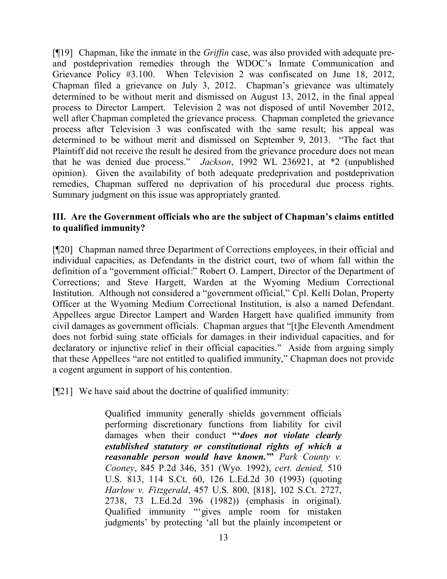[¶19] Chapman, like the inmate in the *Griffin* case, was also provided with adequate preand postdeprivation remedies through the WDOC's Inmate Communication and Grievance Policy #3.100. When Television 2 was confiscated on June 18, 2012, Chapman filed a grievance on July 3, 2012. Chapman's grievance was ultimately determined to be without merit and dismissed on August 13, 2012, in the final appeal process to Director Lampert. Television 2 was not disposed of until November 2012, well after Chapman completed the grievance process. Chapman completed the grievance process after Television 3 was confiscated with the same result; his appeal was determined to be without merit and dismissed on September 9, 2013. "The fact that Plaintiff did not receive the result he desired from the grievance procedure does not mean that he was denied due process." *Jackson*, 1992 WL 236921, at \*2 (unpublished opinion). Given the availability of both adequate predeprivation and postdeprivation remedies, Chapman suffered no deprivation of his procedural due process rights. Summary judgment on this issue was appropriately granted.

## **III. Are the Government officials who are the subject of Chapman's claims entitled to qualified immunity?**

[¶20] Chapman named three Department of Corrections employees, in their official and individual capacities, as Defendants in the district court, two of whom fall within the definition of a "government official:" Robert O. Lampert, Director of the Department of Corrections; and Steve Hargett, Warden at the Wyoming Medium Correctional Institution. Although not considered a "government official," Cpl. Kelli Dolan, Property Officer at the Wyoming Medium Correctional Institution, is also a named Defendant. Appellees argue Director Lampert and Warden Hargett have qualified immunity from civil damages as government officials. Chapman argues that "[t]he Eleventh Amendment does not forbid suing state officials for damages in their individual capacities, and for declaratory or injunctive relief in their official capacities." Aside from arguing simply that these Appellees "are not entitled to qualified immunity," Chapman does not provide a cogent argument in support of his contention.

[¶21] We have said about the doctrine of qualified immunity:

Qualified immunity generally shields government officials performing discretionary functions from liability for civil damages when their conduct **"'***does not violate clearly established statutory or constitutional rights of which a reasonable person would have known.***'"** *Park County v. Cooney*, 845 P.2d 346, 351 (Wyo. 1992), *cert. denied,* 510 U.S. 813, 114 S.Ct. 60, 126 L.Ed.2d 30 (1993) (quoting *Harlow v. Fitzgerald*, 457 U.S. 800, [818], 102 S.Ct. 2727, 2738, 73 L.Ed.2d 396 (1982)) (emphasis in original). Qualified immunity "'gives ample room for mistaken judgments' by protecting 'all but the plainly incompetent or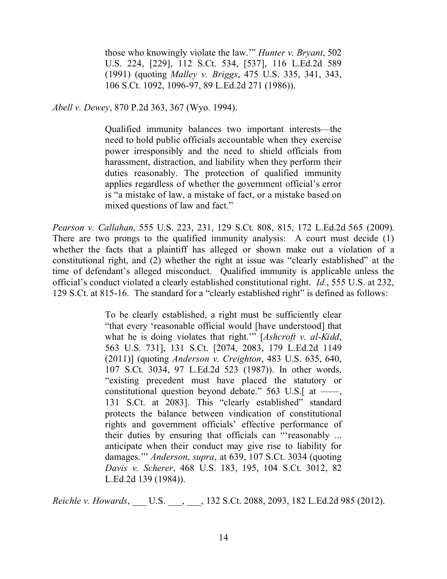those who knowingly violate the law.'" *Hunter v. Bryant*, 502 U.S. 224, [229], 112 S.Ct. 534, [537], 116 L.Ed.2d 589 (1991) (quoting *Malley v. Briggs*, 475 U.S. 335, 341, 343, 106 S.Ct. 1092, 1096-97, 89 L.Ed.2d 271 (1986)).

*Abell v. Dewey*, 870 P.2d 363, 367 (Wyo. 1994).

Qualified immunity balances two important interests—the need to hold public officials accountable when they exercise power irresponsibly and the need to shield officials from harassment, distraction, and liability when they perform their duties reasonably. The protection of qualified immunity applies regardless of whether the government official's error is "a mistake of law, a mistake of fact, or a mistake based on mixed questions of law and fact."

*Pearson v. Callahan*, 555 U.S. 223, 231, 129 S.Ct. 808, 815, 172 L.Ed.2d 565 (2009). There are two prongs to the qualified immunity analysis: A court must decide (1) whether the facts that a plaintiff has alleged or shown make out a violation of a constitutional right, and (2) whether the right at issue was "clearly established" at the time of defendant's alleged misconduct. Qualified immunity is applicable unless the official's conduct violated a clearly established constitutional right. *Id.*, 555 U.S. at 232, 129 S.Ct. at 815-16. The standard for a "clearly established right" is defined as follows:

> To be clearly established, a right must be sufficiently clear "that every 'reasonable official would [have understood] that what he is doing violates that right.'" [*Ashcroft v. al-Kidd*, 563 U.S. 731], 131 S.Ct. [2074, 2083, 179 L.Ed.2d 1149 (2011)] (quoting *Anderson v. Creighton*, 483 U.S. 635, 640, 107 S.Ct. 3034, 97 L.Ed.2d 523 (1987)). In other words, "existing precedent must have placed the statutory or constitutional question beyond debate."  $563$  U.S. [at —–, 131 S.Ct. at 2083]. This "clearly established" standard protects the balance between vindication of constitutional rights and government officials' effective performance of their duties by ensuring that officials can "'reasonably ... anticipate when their conduct may give rise to liability for damages.'" *Anderson*, *supra*, at 639, 107 S.Ct. 3034 (quoting *Davis v. Scherer*, 468 U.S. 183, 195, 104 S.Ct. 3012, 82 L.Ed.2d 139 (1984)).

*Reichle v. Howards*, \_\_\_ U.S. \_\_\_, \_\_\_, 132 S.Ct. 2088, 2093, 182 L.Ed.2d 985 (2012).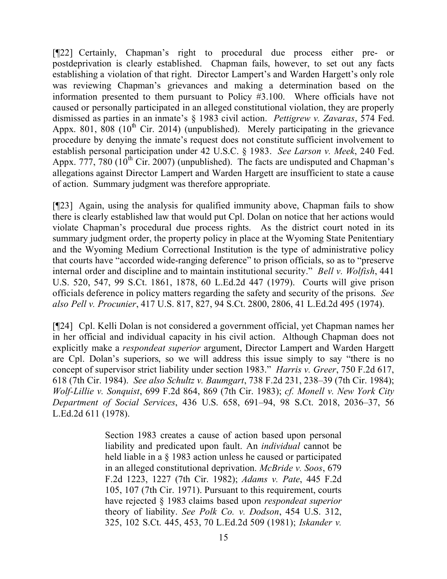[¶22] Certainly, Chapman's right to procedural due process either pre- or postdeprivation is clearly established. Chapman fails, however, to set out any facts establishing a violation of that right. Director Lampert's and Warden Hargett's only role was reviewing Chapman's grievances and making a determination based on the information presented to them pursuant to Policy #3.100. Where officials have not caused or personally participated in an alleged constitutional violation, they are properly dismissed as parties in an inmate's § 1983 civil action. *Pettigrew v. Zavaras*, 574 Fed. Appx. 801,  $808$  (10<sup>th</sup> Cir. 2014) (unpublished). Merely participating in the grievance procedure by denying the inmate's request does not constitute sufficient involvement to establish personal participation under 42 U.S.C. § 1983. *See Larson v. Meek*, 240 Fed. Appx. 777, 780  $(10^{th}$  Cir. 2007) (unpublished). The facts are undisputed and Chapman's allegations against Director Lampert and Warden Hargett are insufficient to state a cause of action. Summary judgment was therefore appropriate.

[¶23] Again, using the analysis for qualified immunity above, Chapman fails to show there is clearly established law that would put Cpl. Dolan on notice that her actions would violate Chapman's procedural due process rights. As the district court noted in its summary judgment order, the property policy in place at the Wyoming State Penitentiary and the Wyoming Medium Correctional Institution is the type of administrative policy that courts have "accorded wide-ranging deference" to prison officials, so as to "preserve internal order and discipline and to maintain institutional security." *Bell v. Wolfish*, 441 U.S. 520, 547, 99 S.Ct. 1861, 1878, 60 L.Ed.2d 447 (1979). Courts will give prison officials deference in policy matters regarding the safety and security of the prisons. *See also Pell v. Procunier*, 417 U.S. 817, 827, 94 S.Ct. 2800, 2806, 41 L.Ed.2d 495 (1974).

[¶24] Cpl. Kelli Dolan is not considered a government official, yet Chapman names her in her official and individual capacity in his civil action. Although Chapman does not explicitly make a *respondeat superior* argument, Director Lampert and Warden Hargett are Cpl. Dolan's superiors, so we will address this issue simply to say "there is no concept of supervisor strict liability under section 1983." *Harris v. Greer*, 750 F.2d 617, 618 (7th Cir. 1984). *See also Schultz v. Baumgart*, 738 F.2d 231, 238–39 (7th Cir. 1984); *Wolf-Lillie v. Sonquist*, 699 F.2d 864, 869 (7th Cir. 1983); *cf. Monell v. New York City Department of Social Services*, 436 U.S. 658, 691–94, 98 S.Ct. 2018, 2036–37, 56 L.Ed.2d 611 (1978).

> Section 1983 creates a cause of action based upon personal liability and predicated upon fault. An *individual* cannot be held liable in a § 1983 action unless he caused or participated in an alleged constitutional deprivation. *McBride v. Soos*, 679 F.2d 1223, 1227 (7th Cir. 1982); *Adams v. Pate*, 445 F.2d 105, 107 (7th Cir. 1971). Pursuant to this requirement, courts have rejected § 1983 claims based upon *respondeat superior* theory of liability. *See Polk Co. v. Dodson*, 454 U.S. 312, 325, 102 S.Ct. 445, 453, 70 L.Ed.2d 509 (1981); *Iskander v.*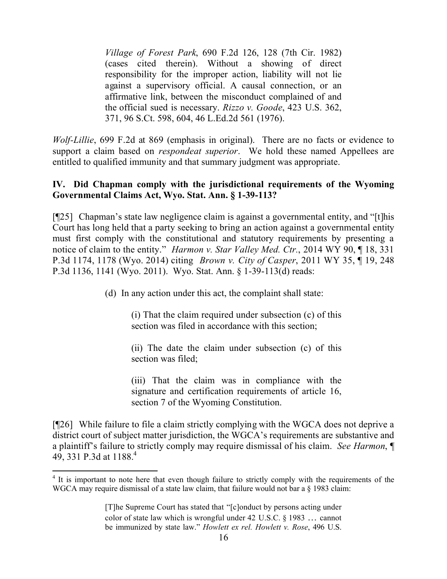*Village of Forest Park*, 690 F.2d 126, 128 (7th Cir. 1982) (cases cited therein). Without a showing of direct responsibility for the improper action, liability will not lie against a supervisory official. A causal connection, or an affirmative link, between the misconduct complained of and the official sued is necessary. *Rizzo v. Goode*, 423 U.S. 362, 371, 96 S.Ct. 598, 604, 46 L.Ed.2d 561 (1976).

*Wolf-Lillie*, 699 F.2d at 869 (emphasis in original). There are no facts or evidence to support a claim based on *respondeat superior*. We hold these named Appellees are entitled to qualified immunity and that summary judgment was appropriate.

## **IV. Did Chapman comply with the jurisdictional requirements of the Wyoming Governmental Claims Act, Wyo. Stat. Ann. § 1-39-113?**

[¶25] Chapman's state law negligence claim is against a governmental entity, and "[t]his Court has long held that a party seeking to bring an action against a governmental entity must first comply with the constitutional and statutory requirements by presenting a notice of claim to the entity." *Harmon v. Star Valley Med. Ctr.*, 2014 WY 90, ¶ 18, 331 P.3d 1174, 1178 (Wyo. 2014) citing *Brown v. City of Casper*, 2011 WY 35, ¶ 19, 248 P.3d 1136, 1141 (Wyo. 2011). Wyo. Stat. Ann. § 1-39-113(d) reads:

(d) In any action under this act, the complaint shall state:

(i) That the claim required under subsection (c) of this section was filed in accordance with this section;

(ii) The date the claim under subsection (c) of this section was filed;

(iii) That the claim was in compliance with the signature and certification requirements of article 16, section 7 of the Wyoming Constitution.

[¶26] While failure to file a claim strictly complying with the WGCA does not deprive a district court of subject matter jurisdiction, the WGCA's requirements are substantive and a plaintiff's failure to strictly comply may require dismissal of his claim. *See Harmon*, ¶ 49, 331 P.3d at 1188.<sup>4</sup>

 $\overline{a}$ <sup>4</sup> It is important to note here that even though failure to strictly comply with the requirements of the WGCA may require dismissal of a state law claim, that failure would not bar a § 1983 claim:

<sup>[</sup>T]he Supreme Court has stated that "[c]onduct by persons acting under color of state law which is wrongful under 42 U.S.C. § 1983 … cannot be immunized by state law." *Howlett ex rel. Howlett v. Rose*, 496 U.S.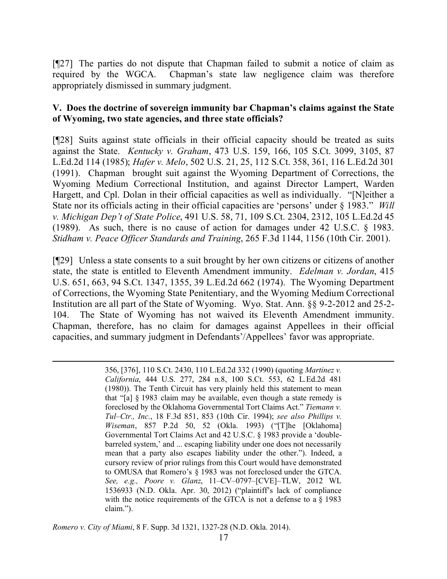[¶27] The parties do not dispute that Chapman failed to submit a notice of claim as required by the WGCA. Chapman's state law negligence claim was therefore appropriately dismissed in summary judgment.

#### **V. Does the doctrine of sovereign immunity bar Chapman's claims against the State of Wyoming, two state agencies, and three state officials?**

[¶28] Suits against state officials in their official capacity should be treated as suits against the State. *Kentucky v. Graham*, 473 U.S. 159, 166, 105 S.Ct. 3099, 3105, 87 L.Ed.2d 114 (1985); *Hafer v. Melo*, 502 U.S. 21, 25, 112 S.Ct. 358, 361, 116 L.Ed.2d 301 (1991). Chapman brought suit against the Wyoming Department of Corrections, the Wyoming Medium Correctional Institution, and against Director Lampert, Warden Hargett, and Cpl. Dolan in their official capacities as well as individually. "[N]either a State nor its officials acting in their official capacities are 'persons' under § 1983." *Will v. Michigan Dep't of State Police*, 491 U.S. 58, 71, 109 S.Ct. 2304, 2312, 105 L.Ed.2d 45 (1989). As such, there is no cause of action for damages under 42 U.S.C. § 1983. *Stidham v. Peace Officer Standards and Training*, 265 F.3d 1144, 1156 (10th Cir. 2001).

[¶29] Unless a state consents to a suit brought by her own citizens or citizens of another state, the state is entitled to Eleventh Amendment immunity. *Edelman v. Jordan*, 415 U.S. 651, 663, 94 S.Ct. 1347, 1355, 39 L.Ed.2d 662 (1974). The Wyoming Department of Corrections, the Wyoming State Penitentiary, and the Wyoming Medium Correctional Institution are all part of the State of Wyoming. Wyo. Stat. Ann. §§ 9-2-2012 and 25-2- 104. The State of Wyoming has not waived its Eleventh Amendment immunity. Chapman, therefore, has no claim for damages against Appellees in their official capacities, and summary judgment in Defendants'/Appellees' favor was appropriate.

> 356, [376], 110 S.Ct. 2430, 110 L.Ed.2d 332 (1990) (quoting *Martinez v. California*, 444 U.S. 277, 284 n.8, 100 S.Ct. 553, 62 L.Ed.2d 481 (1980)). The Tenth Circuit has very plainly held this statement to mean that "[a] § 1983 claim may be available, even though a state remedy is foreclosed by the Oklahoma Governmental Tort Claims Act." *Tiemann v. Tul–Ctr., Inc.*, 18 F.3d 851, 853 (10th Cir. 1994); *see also Phillips v. Wiseman*, 857 P.2d 50, 52 (Okla. 1993) ("[T]he [Oklahoma] Governmental Tort Claims Act and 42 U.S.C. § 1983 provide a 'doublebarreled system,' and ... escaping liability under one does not necessarily mean that a party also escapes liability under the other."). Indeed, a cursory review of prior rulings from this Court would have demonstrated to OMUSA that Romero's § 1983 was not foreclosed under the GTCA. *See, e.g., Poore v. Glanz*, 11–CV–0797–[CVE]–TLW, 2012 WL 1536933 (N.D. Okla. Apr. 30, 2012) ("plaintiff's lack of compliance with the notice requirements of the GTCA is not a defense to a § 1983 claim.").

*Romero v. City of Miami*, 8 F. Supp. 3d 1321, 1327-28 (N.D. Okla. 2014).

l